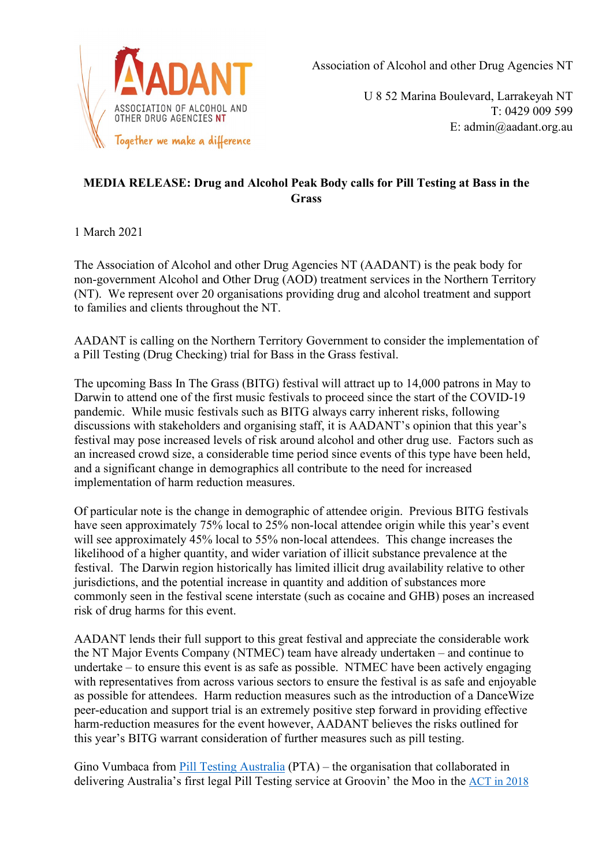

Association of Alcohol and other Drug Agencies NT

U 8 52 Marina Boulevard, Larrakeyah NT T: 0429 009 599 E: admin@aadant.org.au

## **MEDIA RELEASE: Drug and Alcohol Peak Body calls for Pill Testing at Bass in the Grass**

1 March 2021

The Association of Alcohol and other Drug Agencies NT (AADANT) is the peak body for non-government Alcohol and Other Drug (AOD) treatment services in the Northern Territory (NT). We represent over 20 organisations providing drug and alcohol treatment and support to families and clients throughout the NT.

AADANT is calling on the Northern Territory Government to consider the implementation of a Pill Testing (Drug Checking) trial for Bass in the Grass festival.

The upcoming Bass In The Grass (BITG) festival will attract up to 14,000 patrons in May to Darwin to attend one of the first music festivals to proceed since the start of the COVID-19 pandemic. While music festivals such as BITG always carry inherent risks, following discussions with stakeholders and organising staff, it is AADANT's opinion that this year's festival may pose increased levels of risk around alcohol and other drug use. Factors such as an increased crowd size, a considerable time period since events of this type have been held, and a significant change in demographics all contribute to the need for increased implementation of harm reduction measures.

Of particular note is the change in demographic of attendee origin. Previous BITG festivals have seen approximately 75% local to 25% non-local attendee origin while this year's event will see approximately 45% local to 55% non-local attendees. This change increases the likelihood of a higher quantity, and wider variation of illicit substance prevalence at the festival. The Darwin region historically has limited illicit drug availability relative to other jurisdictions, and the potential increase in quantity and addition of substances more commonly seen in the festival scene interstate (such as cocaine and GHB) poses an increased risk of drug harms for this event.

AADANT lends their full support to this great festival and appreciate the considerable work the NT Major Events Company (NTMEC) team have already undertaken – and continue to undertake – to ensure this event is as safe as possible. NTMEC have been actively engaging with representatives from across various sectors to ensure the festival is as safe and enjoyable as possible for attendees. Harm reduction measures such as the introduction of a DanceWize peer-education and support trial is an extremely positive step forward in providing effective harm-reduction measures for the event however, AADANT believes the risks outlined for this year's BITG warrant consideration of further measures such as pill testing.

Gino Vumbaca from [Pill Testing Australia](https://pilltestingaustralia.com.au/) (PTA) – the organisation that collaborated in delivering Australia's first legal Pill Testing service at Groovin' the Moo in the [ACT in 2018](https://aus01.safelinks.protection.outlook.com/?url=https%3A%2F%2Fwww.harmreductionaustralia.org.au%2Fwp-content%2Fuploads%2F2018%2F06%2FPill-Testing-Pilot-ACT-June-2018-Final-Report.pdf&data=02%7C01%7Cryan.fracchia%40my.jcu.edu.au%7C1d4e6fadcd4e4f2b949b08d8366c7cd5%7C2eba4cf8af764db3bcaf81b5592535ef%7C0%7C0%7C637319188345695759&sdata=jNSLH5jCjkn3Lig429ekBy1ubAdZlWf0%2B4Yu%2BEZPc9w%3D&reserved=0)